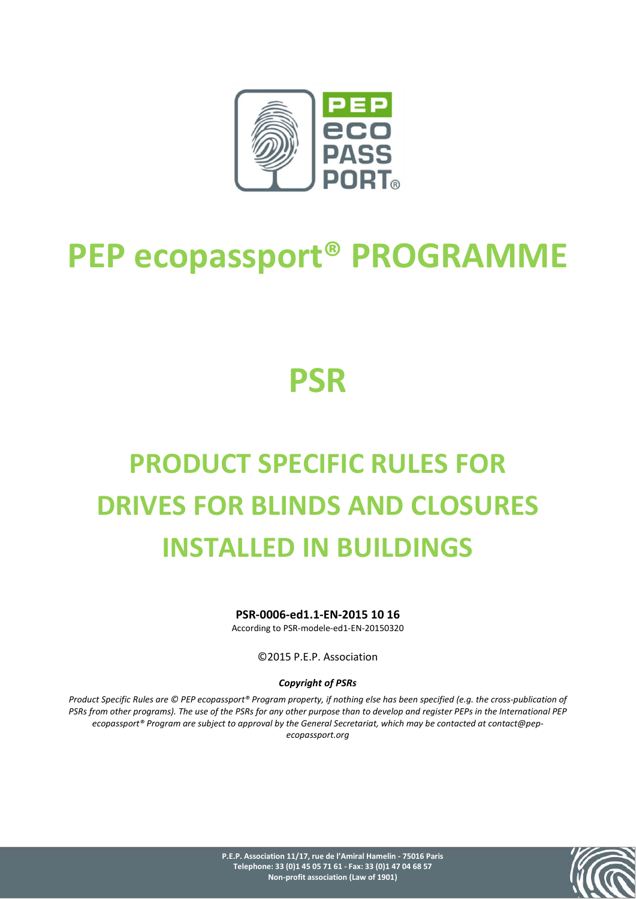

## **PEP ecopassport® PROGRAMME**

## **PSR**

# **PRODUCT SPECIFIC RULES FOR DRIVES FOR BLINDS AND CLOSURES INSTALLED IN BUILDINGS**

**PSR-0006-ed1.1-EN-2015 10 16**

According to PSR-modele-ed1-EN-20150320

©2015 P.E.P. Association

#### *Copyright of PSRs*

*Product Specific Rules are © PEP ecopassport® Program property, if nothing else has been specified (e.g. the cross-publication of PSRs from other programs). The use of the PSRs for any other purpose than to develop and register PEPs in the International PEP ecopassport® Program are subject to approval by the General Secretariat, which may be contacted at contact@pepecopassport.org* 



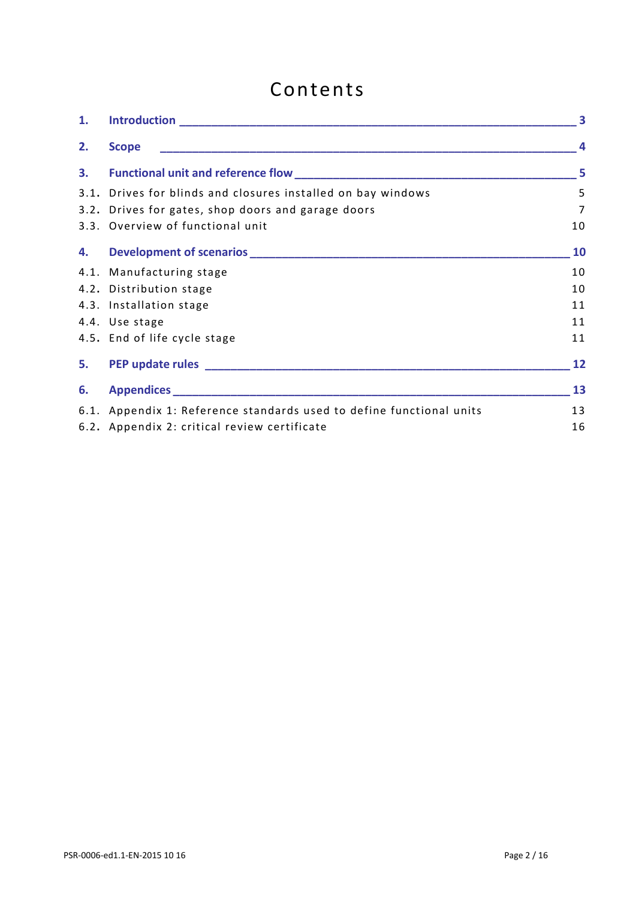## Contents

| 1. |                                                                      | $\overline{\mathbf{3}}$ |
|----|----------------------------------------------------------------------|-------------------------|
| 2. | <b>Scope</b>                                                         | $\overline{a}$          |
| 3. |                                                                      | 5                       |
|    | 3.1. Drives for blinds and closures installed on bay windows         | 5                       |
|    | 3.2. Drives for gates, shop doors and garage doors                   | 7                       |
|    | 3.3. Overview of functional unit                                     | 10                      |
| 4. |                                                                      | 10                      |
|    | 4.1. Manufacturing stage                                             | 10                      |
|    | 4.2. Distribution stage                                              | 10                      |
|    | 4.3. Installation stage                                              | 11                      |
|    | 4.4. Use stage                                                       | 11                      |
|    | 4.5. End of life cycle stage                                         | 11                      |
|    |                                                                      | 12                      |
| 6. |                                                                      | 13                      |
|    | 6.1. Appendix 1: Reference standards used to define functional units | 13                      |
|    | 6.2. Appendix 2: critical review certificate                         | 16                      |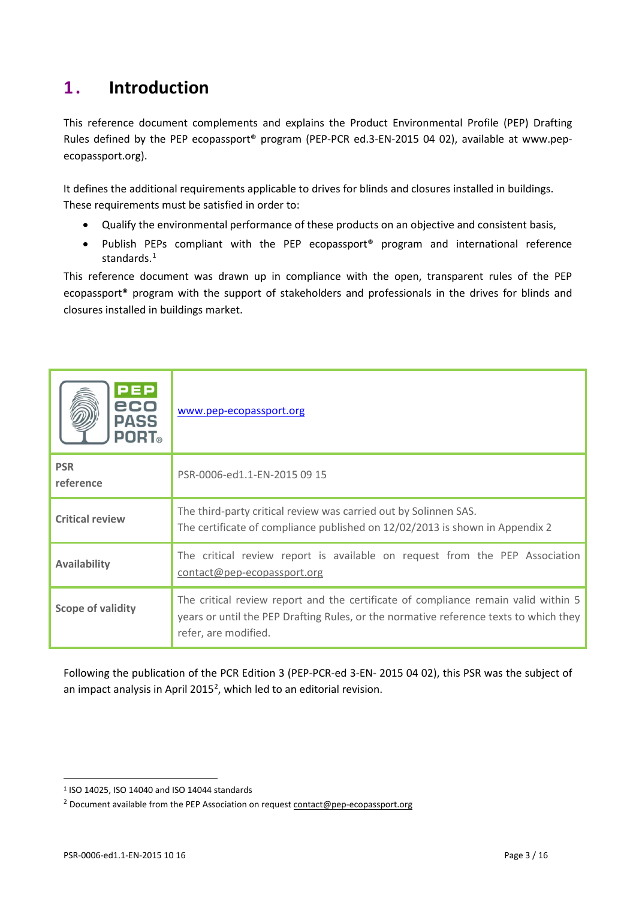## <span id="page-2-0"></span>**1 . Introduction**

This reference document complements and explains the Product Environmental Profile (PEP) Drafting Rules defined by the PEP ecopassport® program (PEP-PCR ed.3-EN-2015 04 02), available at [www.pep](http://www.pep-ecopassport.org/)[ecopassport.org\)](http://www.pep-ecopassport.org/).

It defines the additional requirements applicable to drives for blinds and closures installed in buildings. These requirements must be satisfied in order to:

- Qualify the environmental performance of these products on an objective and consistent basis,
- Publish PEPs compliant with the PEP ecopassport® program and international reference standards.<sup>[1](#page-2-1)</sup>

This reference document was drawn up in compliance with the open, transparent rules of the PEP ecopassport® program with the support of stakeholders and professionals in the drives for blinds and closures installed in buildings market.

| <b>PEP</b><br>eco<br><b>PASS</b><br><b>PORT</b> ® | www.pep-ecopassport.org                                                                                                                                                                             |
|---------------------------------------------------|-----------------------------------------------------------------------------------------------------------------------------------------------------------------------------------------------------|
| <b>PSR</b><br>reference                           | PSR-0006-ed1.1-EN-2015 09 15                                                                                                                                                                        |
| <b>Critical review</b>                            | The third-party critical review was carried out by Solinnen SAS.<br>The certificate of compliance published on 12/02/2013 is shown in Appendix 2                                                    |
| <b>Availability</b>                               | The critical review report is available on request from the PEP Association<br>contact@pep-ecopassport.org                                                                                          |
| <b>Scope of validity</b>                          | The critical review report and the certificate of compliance remain valid within 5<br>years or until the PEP Drafting Rules, or the normative reference texts to which they<br>refer, are modified. |

Following the publication of the PCR Edition 3 (PEP-PCR-ed 3-EN- 2015 04 02), this PSR was the subject of an impact analysis in April [2](#page-2-2)015<sup>2</sup>, which led to an editorial revision.

 $\overline{a}$ 

<span id="page-2-1"></span><sup>1</sup> ISO 14025, ISO 14040 and ISO 14044 standards

<span id="page-2-2"></span><sup>&</sup>lt;sup>2</sup> Document available from the PEP Association on request [contact@pep-ecopassport.org](mailto:contact@pep-ecopassport.org)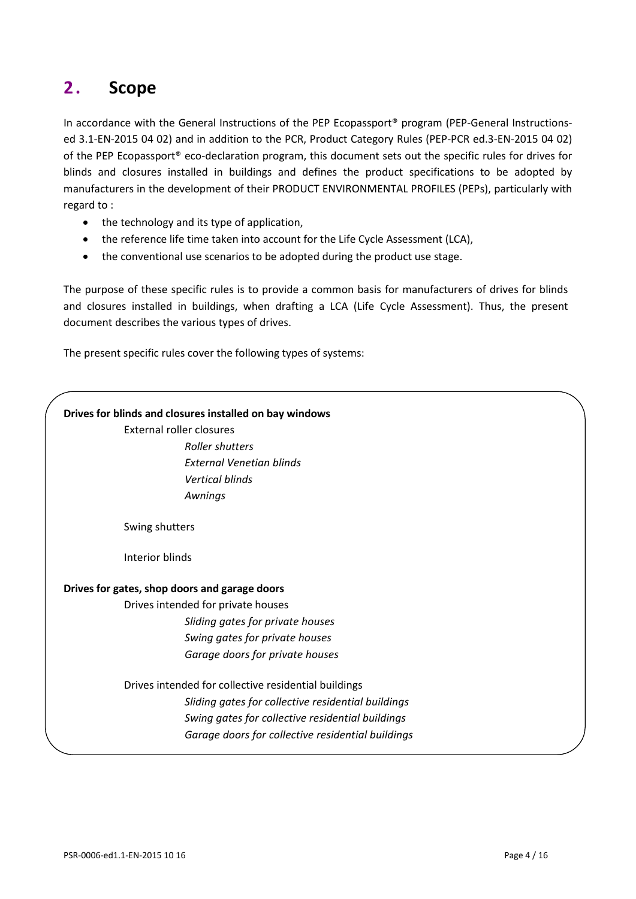## <span id="page-3-0"></span>**2 . Scope**

In accordance with the General Instructions of the PEP Ecopassport<sup>®</sup> program (PEP-General Instructionsed 3.1-EN-2015 04 02) and in addition to the PCR, Product Category Rules (PEP-PCR ed.3-EN-2015 04 02) of the PEP Ecopassport® eco-declaration program, this document sets out the specific rules for drives for blinds and closures installed in buildings and defines the product specifications to be adopted by manufacturers in the development of their PRODUCT ENVIRONMENTAL PROFILES (PEPs), particularly with regard to :

- the technology and its type of application,
- the reference life time taken into account for the Life Cycle Assessment (LCA),
- the conventional use scenarios to be adopted during the product use stage.

The purpose of these specific rules is to provide a common basis for manufacturers of drives for blinds and closures installed in buildings, when drafting a LCA (Life Cycle Assessment). Thus, the present document describes the various types of drives.

The present specific rules cover the following types of systems:

## **Drives for blinds and closures installed on bay windows** External roller closures *Roller shutters External Venetian blinds Vertical blinds Awnings* Swing shutters Interior blinds **Drives for gates, shop doors and garage doors** Drives intended for private houses *Sliding gates for private houses Swing gates for private houses Garage doors for private houses* Drives intended for collective residential buildings *Sliding gates for collective residential buildings Swing gates for collective residential buildings Garage doors for collective residential buildings*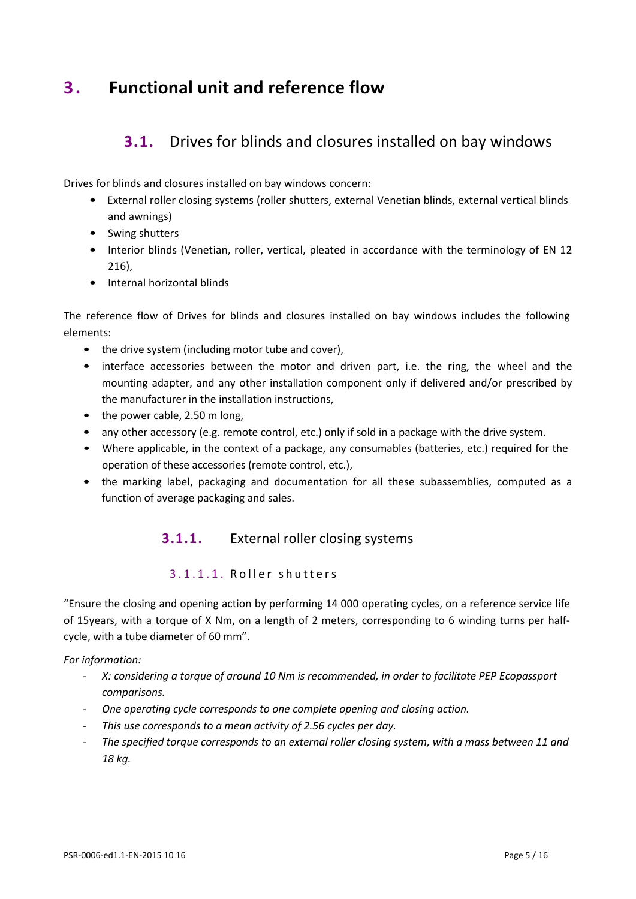## <span id="page-4-1"></span><span id="page-4-0"></span>**3 . Functional unit and reference flow**

## **3.1.** Drives for blinds and closures installed on bay windows

Drives for blinds and closures installed on bay windows concern:

- External roller closing systems (roller shutters, external Venetian blinds, external vertical blinds and awnings)
- Swing shutters
- Interior blinds (Venetian, roller, vertical, pleated in accordance with the terminology of EN 12 216),
- Internal horizontal blinds

The reference flow of Drives for blinds and closures installed on bay windows includes the following elements:

- the drive system (including motor tube and cover),
- interface accessories between the motor and driven part, i.e. the ring, the wheel and the mounting adapter, and any other installation component only if delivered and/or prescribed by the manufacturer in the installation instructions,
- the power cable, 2.50 m long,
- any other accessory (e.g. remote control, etc.) only if sold in a package with the drive system.
- Where applicable, in the context of a package, any consumables (batteries, etc.) required for the operation of these accessories (remote control, etc.),
- the marking label, packaging and documentation for all these subassemblies, computed as a function of average packaging and sales.

### **3.1.1.** External roller closing systems

#### 3.1.1.1. Roller shutters

"Ensure the closing and opening action by performing 14 000 operating cycles, on a reference service life of 15years, with a torque of X Nm, on a length of 2 meters, corresponding to 6 winding turns per halfcycle, with a tube diameter of 60 mm".

- *- X: considering a torque of around 10 Nm is recommended, in order to facilitate PEP Ecopassport comparisons.*
- *- One operating cycle corresponds to one complete opening and closing action.*
- *- This use corresponds to a mean activity of 2.56 cycles per day.*
- *- The specified torque corresponds to an external roller closing system, with a mass between 11 and 18 kg.*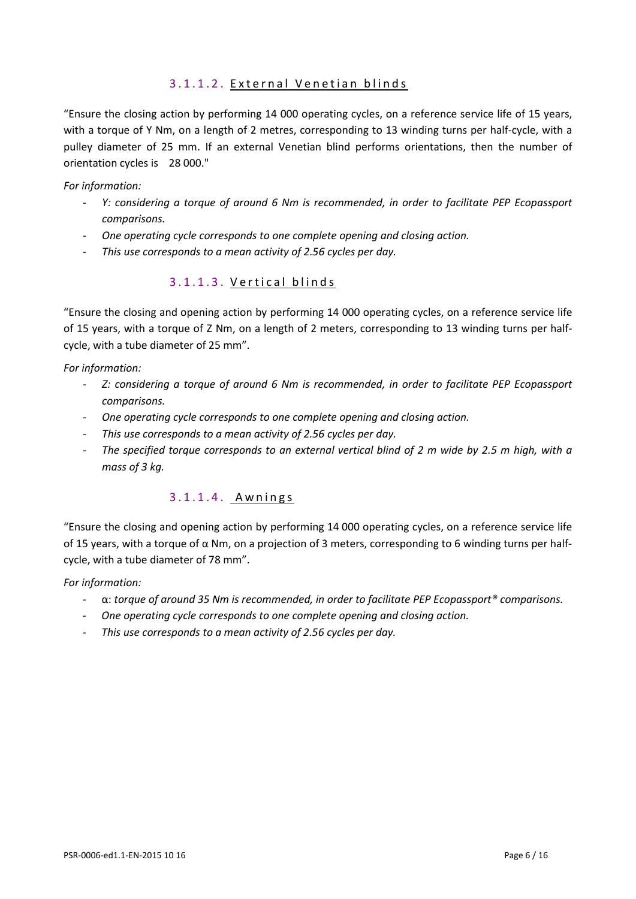#### 3.1.1.2. External Venetian blinds

"Ensure the closing action by performing 14 000 operating cycles, on a reference service life of 15 years, with a torque of Y Nm, on a length of 2 metres, corresponding to 13 winding turns per half-cycle, with a pulley diameter of 25 mm. If an external Venetian blind performs orientations, then the number of orientation cycles is 28 000."

#### *For information:*

- *Y: considering a torque of around 6 Nm is recommended, in order to facilitate PEP Ecopassport comparisons.*
- *- One operating cycle corresponds to one complete opening and closing action.*
- *- This use corresponds to a mean activity of 2.56 cycles per day.*

#### 3.1.1.3. Vertical blinds

"Ensure the closing and opening action by performing 14 000 operating cycles, on a reference service life of 15 years, with a torque of Z Nm, on a length of 2 meters, corresponding to 13 winding turns per halfcycle, with a tube diameter of 25 mm".

*For information:*

- *- Z: considering a torque of around 6 Nm is recommended, in order to facilitate PEP Ecopassport comparisons.*
- *- One operating cycle corresponds to one complete opening and closing action.*
- *- This use corresponds to a mean activity of 2.56 cycles per day.*
- *- The specified torque corresponds to an external vertical blind of 2 m wide by 2.5 m high, with a mass of 3 kg.*

#### 3.1.1.4. Awnings

"Ensure the closing and opening action by performing 14 000 operating cycles, on a reference service life of 15 years, with a torque of α Nm, on a projection of 3 meters, corresponding to 6 winding turns per halfcycle, with a tube diameter of 78 mm".

- *-* α: *torque of around 35 Nm is recommended, in order to facilitate PEP Ecopassport® comparisons.*
- *- One operating cycle corresponds to one complete opening and closing action.*
- *- This use corresponds to a mean activity of 2.56 cycles per day.*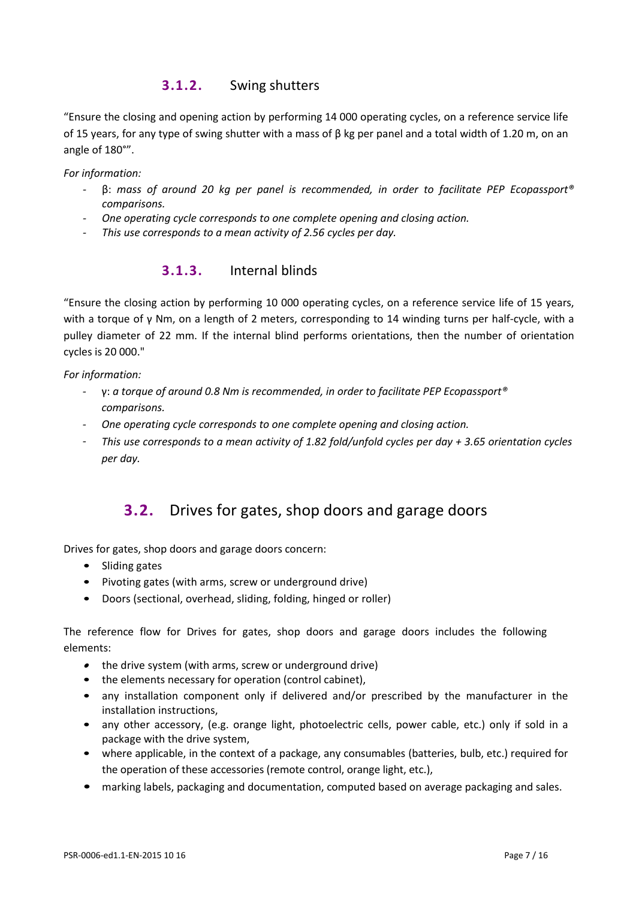#### **3.1.2.** Swing shutters

"Ensure the closing and opening action by performing 14 000 operating cycles, on a reference service life of 15 years, for any type of swing shutter with a mass of  $\beta$  kg per panel and a total width of 1.20 m, on an angle of 180°".

*For information:*

- *-* β: *mass of around 20 kg per panel is recommended, in order to facilitate PEP Ecopassport® comparisons.*
- *- One operating cycle corresponds to one complete opening and closing action.*
- *- This use corresponds to a mean activity of 2.56 cycles per day.*

#### **3.1.3.** Internal blinds

"Ensure the closing action by performing 10 000 operating cycles, on a reference service life of 15 years, with a torque of γ Nm, on a length of 2 meters, corresponding to 14 winding turns per half-cycle, with a pulley diameter of 22 mm. If the internal blind performs orientations, then the number of orientation cycles is 20 000."

*For information:*

- *-* γ: *a torque of around 0.8 Nm is recommended, in order to facilitate PEP Ecopassport® comparisons.*
- *- One operating cycle corresponds to one complete opening and closing action.*
- <span id="page-6-0"></span>*- This use corresponds to a mean activity of 1.82 fold/unfold cycles per day + 3.65 orientation cycles per day.*

### **3.2.** Drives for gates, shop doors and garage doors

Drives for gates, shop doors and garage doors concern:

- Sliding gates
- Pivoting gates (with arms, screw or underground drive)
- Doors (sectional, overhead, sliding, folding, hinged or roller)

The reference flow for Drives for gates, shop doors and garage doors includes the following elements:

- the drive system (with arms, screw or underground drive)
- the elements necessary for operation (control cabinet),
- any installation component only if delivered and/or prescribed by the manufacturer in the installation instructions,
- any other accessory, (e.g. orange light, photoelectric cells, power cable, etc.) only if sold in a package with the drive system,
- where applicable, in the context of a package, any consumables (batteries, bulb, etc.) required for the operation of these accessories (remote control, orange light, etc.),
- marking labels, packaging and documentation, computed based on average packaging and sales.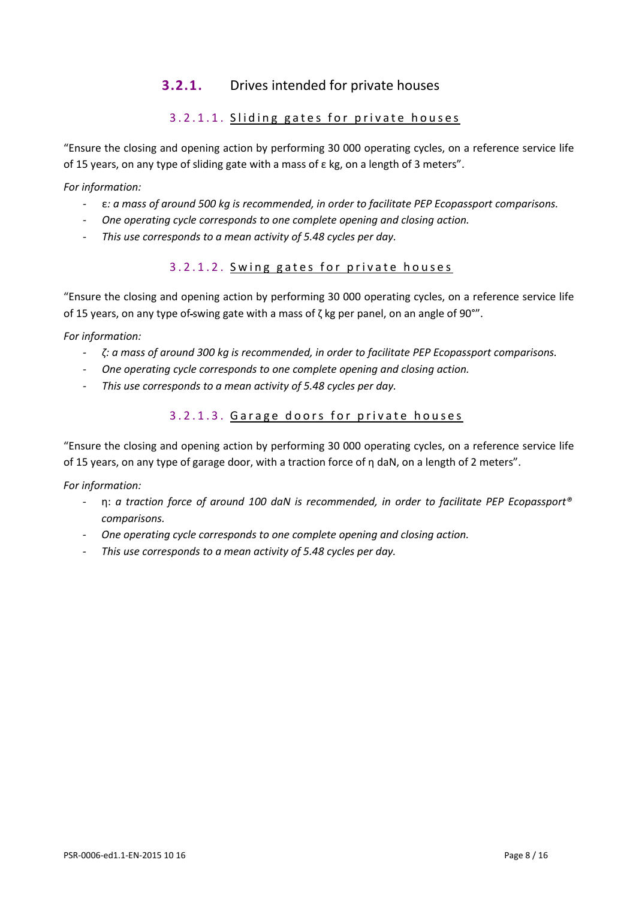#### **3.2.1.** Drives intended for private houses

#### 3.2.1.1. Sliding gates for private houses

"Ensure the closing and opening action by performing 30 000 operating cycles, on a reference service life of 15 years, on any type of sliding gate with a mass of  $\varepsilon$  kg, on a length of 3 meters".

*For information:*

- *-* ε*: a mass of around 500 kg is recommended, in order to facilitate PEP Ecopassport comparisons.*
- *- One operating cycle corresponds to one complete opening and closing action.*
- *- This use corresponds to a mean activity of 5.48 cycles per day.*

#### 3.2.1.2. Swing gates for private houses

"Ensure the closing and opening action by performing 30 000 operating cycles, on a reference service life of 15 years, on any type of swing gate with a mass of  $\zeta$  kg per panel, on an angle of 90°".

*For information:*

- *- ζ: a mass of around 300 kg is recommended, in order to facilitate PEP Ecopassport comparisons.*
- *- One operating cycle corresponds to one complete opening and closing action.*
- *- This use corresponds to a mean activity of 5.48 cycles per day.*

#### 3.2.1.3. Garage doors for private houses

"Ensure the closing and opening action by performing 30 000 operating cycles, on a reference service life of 15 years, on any type of garage door, with a traction force of η daN, on a length of 2 meters".

- *-* η: *a traction force of around 100 daN is recommended, in order to facilitate PEP Ecopassport® comparisons.*
- *- One operating cycle corresponds to one complete opening and closing action.*
- *- This use corresponds to a mean activity of 5.48 cycles per day.*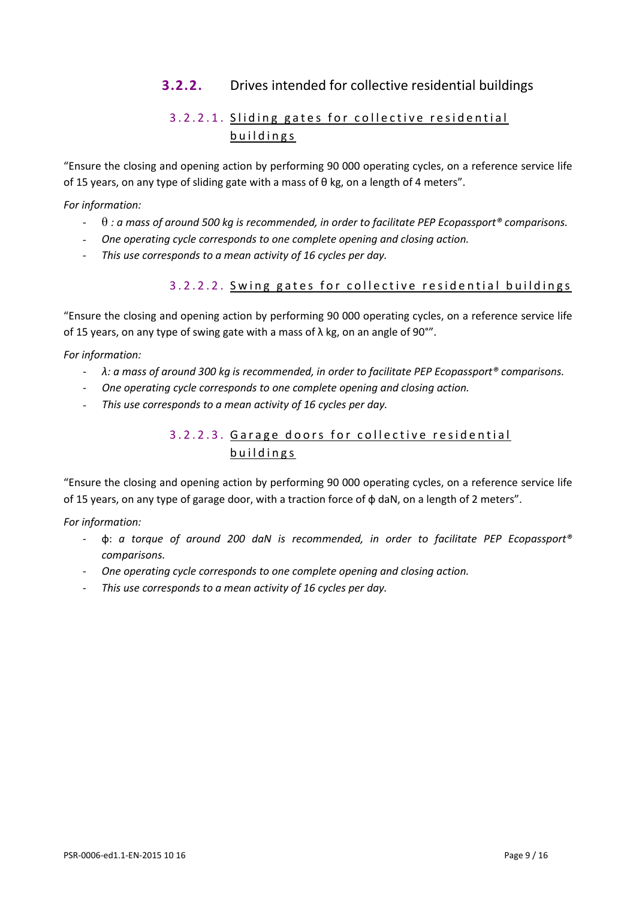### **3.2.2.** Drives intended for collective residential buildings

#### 3.2.2.1. Sliding gates for collective residential buildings

"Ensure the closing and opening action by performing 90 000 operating cycles, on a reference service life of 15 years, on any type of sliding gate with a mass of  $\theta$  kg, on a length of 4 meters".

*For information:*

- *-* θ *: a mass of around 500 kg is recommended, in order to facilitate PEP Ecopassport® comparisons.*
- *- One operating cycle corresponds to one complete opening and closing action.*
- *- This use corresponds to a mean activity of 16 cycles per day.*

#### 3.2.2.2. S wing gates for collective residential buildings

"Ensure the closing and opening action by performing 90 000 operating cycles, on a reference service life of 15 years, on any type of swing gate with a mass of  $\lambda$  kg, on an angle of 90°".

*For information:*

- *- λ: a mass of around 300 kg is recommended, in order to facilitate PEP Ecopassport® comparisons.*
- *- One operating cycle corresponds to one complete opening and closing action.*
- *- This use corresponds to a mean activity of 16 cycles per day.*

#### 3.2.2.3. Garage doors for collective residential buildings

"Ensure the closing and opening action by performing 90 000 operating cycles, on a reference service life of 15 years, on any type of garage door, with a traction force of ф daN, on a length of 2 meters".

- *-* ф: *a torque of around 200 daN is recommended, in order to facilitate PEP Ecopassport® comparisons.*
- *- One operating cycle corresponds to one complete opening and closing action.*
- *- This use corresponds to a mean activity of 16 cycles per day.*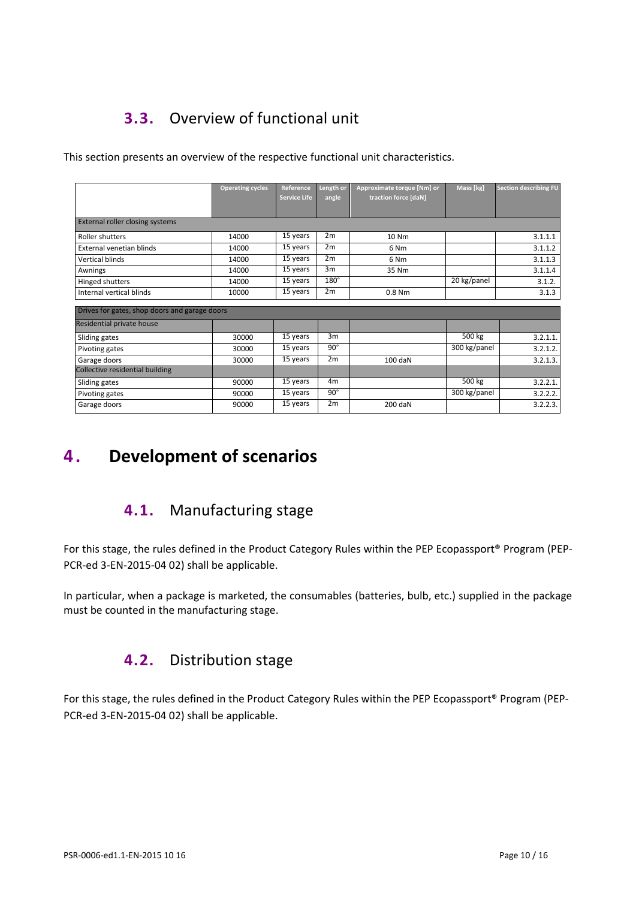## <span id="page-9-0"></span>**3.3.** Overview of functional unit

This section presents an overview of the respective functional unit characteristics.

|                                               | <b>Operating cycles</b> | Reference           | Length or      | Approximate torque [Nm] or | Mass [kg]    | <b>Section describing FU</b> |
|-----------------------------------------------|-------------------------|---------------------|----------------|----------------------------|--------------|------------------------------|
|                                               |                         | <b>Service Life</b> | angle          | traction force [daN]       |              |                              |
|                                               |                         |                     |                |                            |              |                              |
| <b>External roller closing systems</b>        |                         |                     |                |                            |              |                              |
| Roller shutters                               | 14000                   | 15 years            | 2m             | 10 Nm                      |              | 3.1.1.1                      |
| External venetian blinds                      | 14000                   | 15 years            | 2m             | 6 <sub>Nm</sub>            |              | 3.1.1.2                      |
| <b>Vertical blinds</b>                        | 14000                   | 15 years            | 2m             | 6 <sub>Nm</sub>            |              | 3.1.1.3                      |
| Awnings                                       | 14000                   | 15 years            | 3m             | 35 Nm                      |              | 3.1.1.4                      |
| Hinged shutters                               | 14000                   | 15 years            | $180^\circ$    |                            | 20 kg/panel  | 3.1.2.                       |
| Internal vertical blinds                      | 10000                   | 15 years            | 2m             | $0.8$ Nm                   |              | 3.1.3                        |
| Drives for gates, shop doors and garage doors |                         |                     |                |                            |              |                              |
|                                               |                         |                     |                |                            |              |                              |
| Residential private house                     |                         |                     |                |                            |              |                              |
| Sliding gates                                 | 30000                   | 15 years            | 3m             |                            | 500 kg       | 3.2.1.1.                     |
| Pivoting gates                                | 30000                   | 15 years            | $90^\circ$     |                            | 300 kg/panel | 3.2.1.2.                     |
| Garage doors                                  | 30000                   | 15 years            | 2m             | 100 daN                    |              | 3.2.1.3.                     |
| Collective residential building               |                         |                     |                |                            |              |                              |
| Sliding gates                                 | 90000                   | 15 years            | 4 <sub>m</sub> |                            | 500 kg       | 3.2.2.1.                     |
| Pivoting gates                                | 90000                   | 15 years            | $90^\circ$     |                            | 300 kg/panel | 3.2.2.2.                     |
| Garage doors                                  | 90000                   | 15 years            | 2m             | 200 daN                    |              | 3.2.2.3.                     |

## <span id="page-9-2"></span><span id="page-9-1"></span>**4 . Development of scenarios**

## **4.1.** Manufacturing stage

For this stage, the rules defined in the Product Category Rules within the PEP Ecopassport® Program (PEP-PCR-ed 3-EN-2015-04 02) shall be applicable.

<span id="page-9-3"></span>In particular, when a package is marketed, the consumables (batteries, bulb, etc.) supplied in the package must be counted in the manufacturing stage.

## **4.2.** Distribution stage

For this stage, the rules defined in the Product Category Rules within the PEP Ecopassport® Program (PEP-PCR-ed 3-EN-2015-04 02) shall be applicable.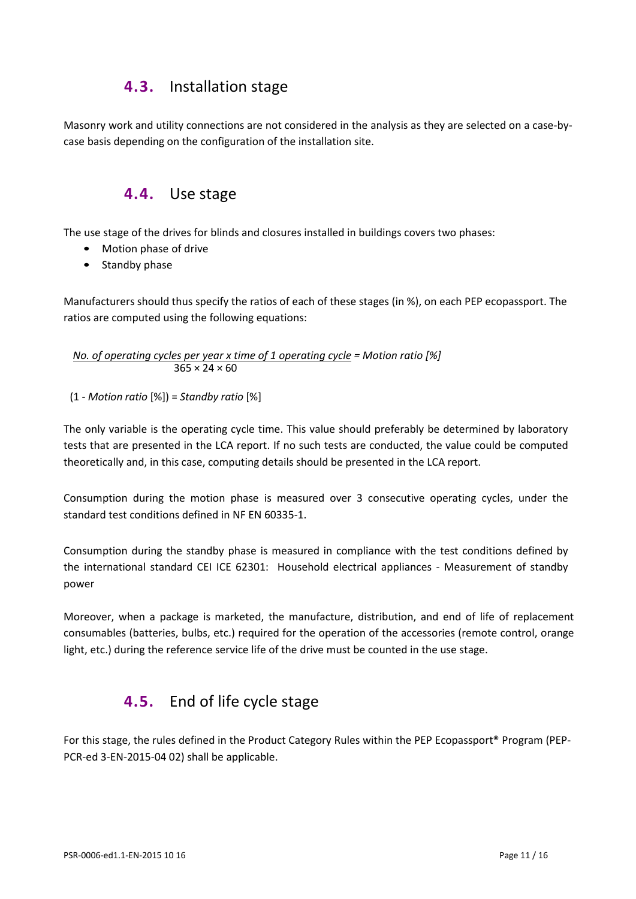### **4.3.** Installation stage

<span id="page-10-1"></span><span id="page-10-0"></span>Masonry work and utility connections are not considered in the analysis as they are selected on a case-bycase basis depending on the configuration of the installation site.

### **4.4.** Use stage

The use stage of the drives for blinds and closures installed in buildings covers two phases:

- Motion phase of drive
- Standby phase

Manufacturers should thus specify the ratios of each of these stages (in %), on each PEP ecopassport. The ratios are computed using the following equations:

*No. of operating cycles per year x time of 1 operating cycle = Motion ratio [%]*  $365 \times 24 \times 60$ 

(1 - *Motion ratio* [%]) = *Standby ratio* [%]

The only variable is the operating cycle time. This value should preferably be determined by laboratory tests that are presented in the LCA report. If no such tests are conducted, the value could be computed theoretically and, in this case, computing details should be presented in the LCA report.

Consumption during the motion phase is measured over 3 consecutive operating cycles, under the standard test conditions defined in NF EN 60335-1.

Consumption during the standby phase is measured in compliance with the test conditions defined by the international standard CEI ICE 62301: Household electrical appliances - Measurement of standby power

<span id="page-10-2"></span>Moreover, when a package is marketed, the manufacture, distribution, and end of life of replacement consumables (batteries, bulbs, etc.) required for the operation of the accessories (remote control, orange light, etc.) during the reference service life of the drive must be counted in the use stage.

## **4.5.** End of life cycle stage

For this stage, the rules defined in the Product Category Rules within the PEP Ecopassport<sup>®</sup> Program (PEP-PCR-ed 3-EN-2015-04 02) shall be applicable.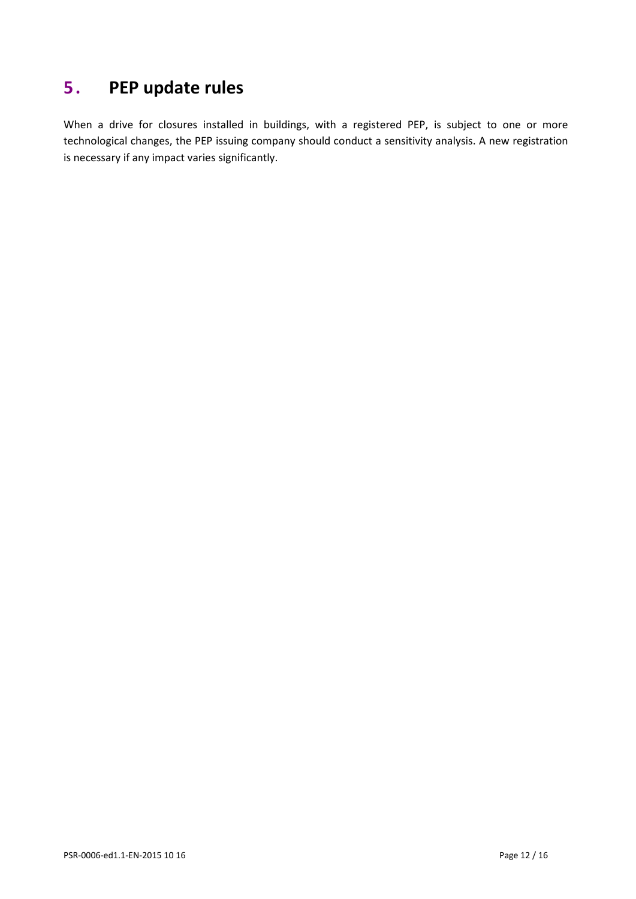## <span id="page-11-0"></span>**5 . PEP update rules**

When a drive for closures installed in buildings, with a registered PEP, is subject to one or more technological changes, the PEP issuing company should conduct a sensitivity analysis. A new registration is necessary if any impact varies significantly.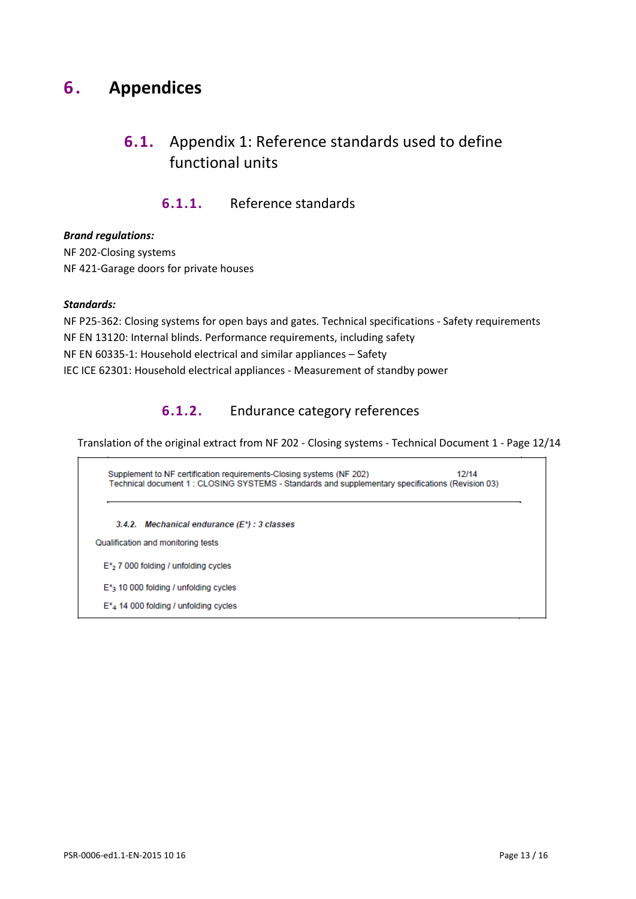## <span id="page-12-1"></span><span id="page-12-0"></span>**6 . Appendices**

## **6.1.** Appendix 1: Reference standards used to define functional units

#### **6.1.1.** Reference standards

#### *Brand regulations:*

NF 202-Closing systems NF 421-Garage doors for private houses

#### *Standards:*

NF P25-362: Closing systems for open bays and gates. Technical specifications - Safety requirements NF EN 13120: Internal blinds. Performance requirements, including safety NF EN 60335-1: Household electrical and similar appliances – Safety IEC ICE 62301: Household electrical appliances - Measurement of standby power

#### **6.1.2.** Endurance category references

Translation of the original extract from NF 202 - Closing systems - Technical Document 1 - Page 12/14

Supplement to NF certification requirements-Closing systems (NF 202)  $12/14$ Technical document 1 : CLOSING SYSTEMS - Standards and supplementary specifications (Revision 03)

3.4.2. Mechanical endurance (E\*) : 3 classes

Qualification and monitoring tests

 $E^*$ <sub>2</sub> 7 000 folding / unfolding cycles

E<sup>\*</sup><sub>3</sub> 10 000 folding / unfolding cycles

 $E^*$ <sub>4</sub> 14 000 folding / unfolding cycles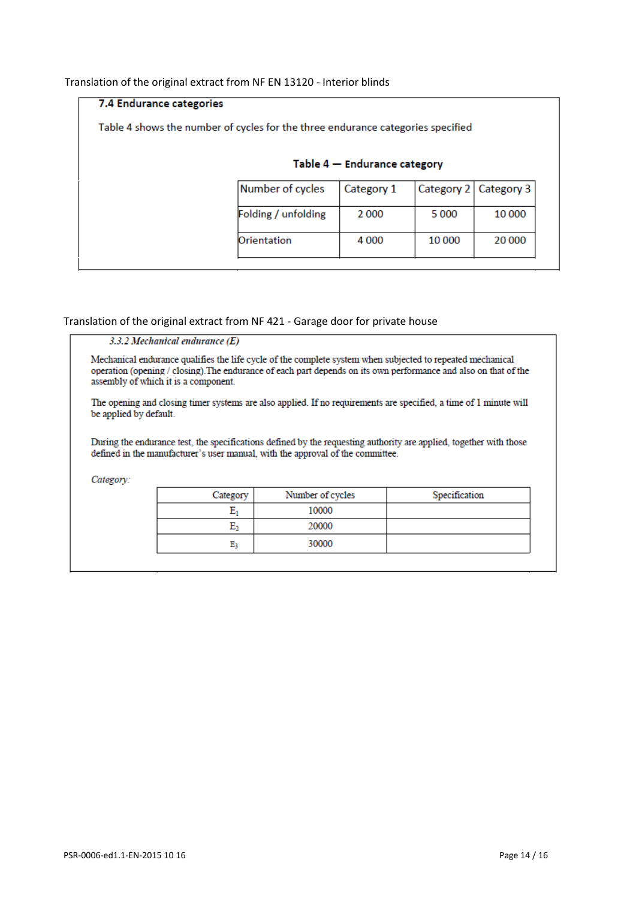#### Translation of the original extract from NF EN 13120 - Interior blinds

| 7.4 Endurance categories                                                        |                     |                                |        |                       |
|---------------------------------------------------------------------------------|---------------------|--------------------------------|--------|-----------------------|
| Table 4 shows the number of cycles for the three endurance categories specified |                     |                                |        |                       |
|                                                                                 |                     |                                |        |                       |
|                                                                                 |                     | Table $4$ – Endurance category |        |                       |
|                                                                                 | Number of cycles    | Category 1                     |        | Category 2 Category 3 |
|                                                                                 | Folding / unfolding | 2000                           | 5 000  | 10 000                |
|                                                                                 | Orientation         | 4 0 0 0                        | 10 000 | 20 000                |
|                                                                                 |                     |                                |        |                       |

#### Translation of the original extract from NF 421 - Garage door for private house

3.3.2 Mechanical endurance  $(E)$ 

Mechanical endurance qualifies the life cycle of the complete system when subjected to repeated mechanical operation (opening / closing). The endurance of each part depends on its own performance and also on that of the assembly of which it is a component.

The opening and closing timer systems are also applied. If no requirements are specified, a time of 1 minute will be applied by default.

During the endurance test, the specifications defined by the requesting authority are applied, together with those defined in the manufacturer's user manual, with the approval of the committee.

Category:

| Category | Number of cycles | Specification |
|----------|------------------|---------------|
|          | 10000            |               |
|          | 20000            |               |
| E٦       | 30000            |               |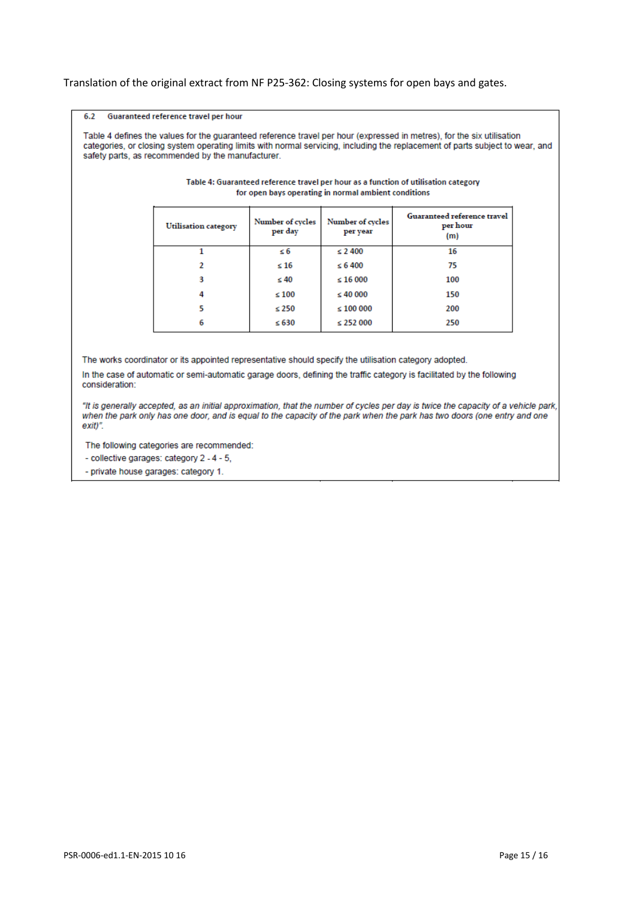#### Translation of the original extract from NF P25-362: Closing systems for open bays and gates.

#### Guaranteed reference travel per hour 6.2

Table 4 defines the values for the guaranteed reference travel per hour (expressed in metres), for the six utilisation categories, or closing system operating limits with normal servicing, including the replacement of parts subject to wear, and safety parts, as recommended by the manufacturer.

| <b>Utilisation</b> category | Number of cycles<br>per day | Number of cycles<br>per year | Guaranteed reference travel<br>per hour<br>(m) |
|-----------------------------|-----------------------------|------------------------------|------------------------------------------------|
|                             | $\leq 6$                    | $\leq 2400$                  | 16                                             |
|                             | $\leq 16$                   | $\leq 6400$                  | 75                                             |
|                             | $\leq 40$                   | $\leq 16000$                 | 100                                            |
|                             | $\leq 100$                  | $\leq 40000$                 | 150                                            |
|                             | $\leq 250$                  | $\leq 100000$                | 200                                            |
| 6                           | $\leq 630$                  | $\leq$ 252 000               | 250                                            |

#### Table 4: Guaranteed reference travel per hour as a function of utilisation category for open bays operating in normal ambient conditions

The works coordinator or its appointed representative should specify the utilisation category adopted.

In the case of automatic or semi-automatic garage doors, defining the traffic category is facilitated by the following consideration:

"It is generally accepted, as an initial approximation, that the number of cycles per day is twice the capacity of a vehicle park, when the park only has one door, and is equal to the capacity of the park when the park has two doors (one entry and one  $exit$ ".

The following categories are recommended:

- collective garages: category 2 - 4 - 5,

- private house garages: category 1.